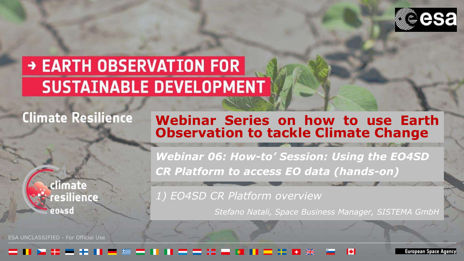

# → EARTH OBSERVATION FOR **SUSTAINABLE DEVELOPMENT**

## **Climate Resilience**

#### **Webinar Series on how to use Earth Observation to tackle Climate Change**

climate resilience entsd

ESA UNCLASSIFIED - For Official Use

*Webinar 06: How-to' Session: Using the EO4SD CR Platform to access EO data (hands-on)* 

*1) EO4SD CR Platform overview* 

*Stefano Natali, Space Business Manager, SISTEMA GmbH*

#### - - -

uropean Space Agency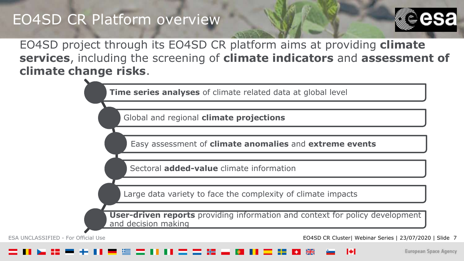

EO4SD project through its EO4SD CR platform aims at providing **climate services**, including the screening of **climate indicators** and **assessment of climate change risks**.

**Time series analyses** of climate related data at global level

Global and regional **climate projections**

Easy assessment of **climate anomalies** and **extreme events**

Sectoral **added-value** climate information

Large data variety to face the complexity of climate impacts

**User-driven reports** providing information and context for policy development and decision making

ESA UNCLASSIFIED - For Official Use EO4SD CR Cluster| Webinar Series | 23/07/2020 | Slide 7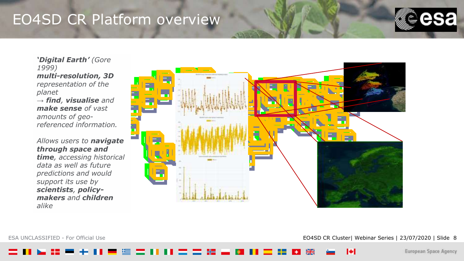

*'Digital Earth' (Gore 1999) multi-resolution, 3D representation of the planet* 

*→ find, visualise and make sense of vast amounts of georeferenced information.*

#### *Allows users to navigate through space and*

*time, accessing historical data as well as future predictions and would support its use by scientists, policymakers and children alike*



ESA UNCLASSIFIED - For Official Use **EO4SD CR Cluster| Webinar Series | 23/07/2020 | Slide 8** EO4SD CR Cluster| Webinar Series | 23/07/2020 | Slide 8

ы

European Space Agency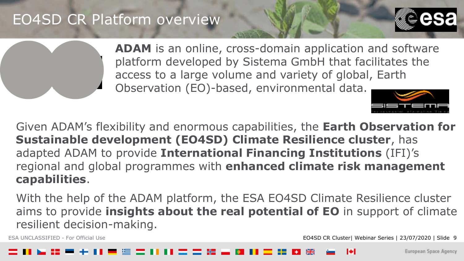

**ADAM** is an online, cross-domain application and software platform developed by Sistema GmbH that facilitates the access to a large volume and variety of global, Earth Observation (EO)-based, environmental data.

Given ADAM's flexibility and enormous capabilities, the **Earth Observation for Sustainable development (EO4SD) Climate Resilience cluster**, has adapted ADAM to provide **International Financing Institutions** (IFI)'s regional and global programmes with **enhanced climate risk management capabilities**.

With the help of the ADAM platform, the ESA EO4SD Climate Resilience cluster aims to provide **insights about the real potential of EO** in support of climate resilient decision-making.

ESA UNCLASSIFIED - For Official Use EO4SD CR Cluster| Webinar Series | 23/07/2020 | Slide 9